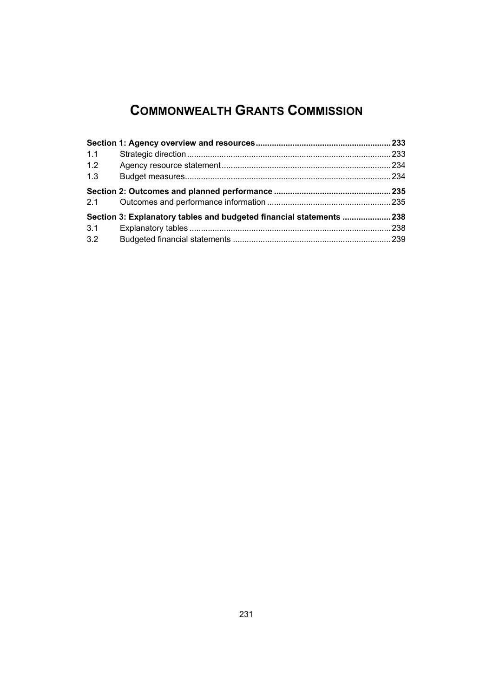# **COMMONWEALTH GRANTS COMMISSION**

| 1.1 |                                                                     |  |
|-----|---------------------------------------------------------------------|--|
| 1.2 |                                                                     |  |
| 1.3 |                                                                     |  |
|     |                                                                     |  |
| 2.1 |                                                                     |  |
|     | Section 3: Explanatory tables and budgeted financial statements 238 |  |
| 3.1 |                                                                     |  |
| 3.2 |                                                                     |  |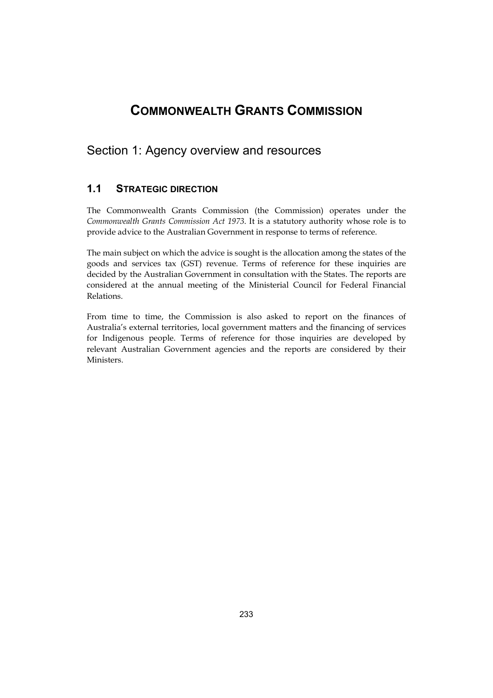# **COMMONWEALTH GRANTS COMMISSION**

# <span id="page-2-0"></span>Section 1: Agency overview and resources

# **1.1 STRATEGIC DIRECTION**

The Commonwealth Grants Commission (the Commission) operates under the *Commonwealth Grants Commission Act 1973*. It is a statutory authority whose role is to provide advice to the Australian Government in response to terms of reference.

The main subject on which the advice is sought is the allocation among the states of the goods and services tax (GST) revenue. Terms of reference for these inquiries are decided by the Australian Government in consultation with the States. The reports are considered at the annual meeting of the Ministerial Council for Federal Financial Relations.

From time to time, the Commission is also asked to report on the finances of Australia's external territories, local government matters and the financing of services for Indigenous people. Terms of reference for those inquiries are developed by relevant Australian Government agencies and the reports are considered by their Ministers.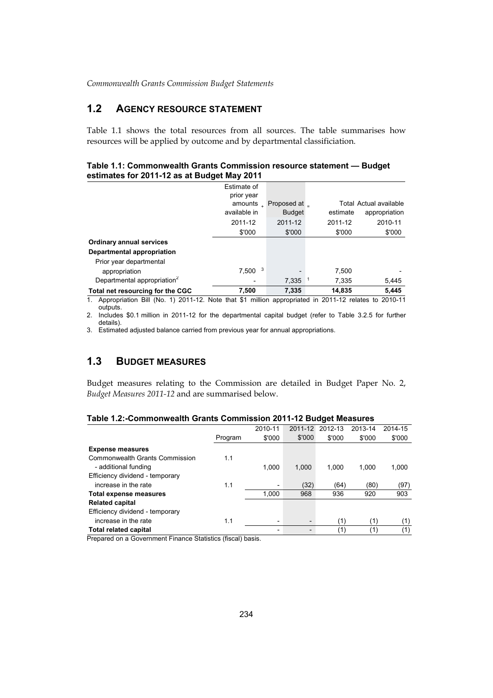# **1.2 AGENCY RESOURCE STATEMENT**

Table 1.1 shows the total resources from all sources. The table summarises how resources will be applied by outcome and by departmental classificiation.

#### **Table 1.1: Commonwealth Grants Commission resource statement — Budget estimates for 2011-12 as at Budget May 2011**

|                                         | Estimate of              |               |          |                        |
|-----------------------------------------|--------------------------|---------------|----------|------------------------|
|                                         | prior year               |               |          |                        |
|                                         | amounts<br>$\mathcal{L}$ | Proposed at _ |          | Total Actual available |
|                                         | available in             | <b>Budget</b> | estimate | appropriation          |
|                                         | 2011-12                  | 2011-12       | 2011-12  | 2010-11                |
|                                         | \$'000                   | \$'000        | \$'000   | \$'000                 |
| <b>Ordinary annual services</b>         |                          |               |          |                        |
| Departmental appropriation              |                          |               |          |                        |
| Prior year departmental                 |                          |               |          |                        |
| appropriation                           | 3<br>7,500               |               | 7.500    |                        |
| Departmental appropriation <sup>2</sup> |                          | 7.335         | 7,335    | 5,445                  |
| Total net resourcing for the CGC        | 7.500                    | 7.335         | 14.835   | 5.445                  |

1. Appropriation Bill (No. 1) 2011-12. Note that \$1 million appropriated in 2011-12 relates to 2010-11 outputs.

2. Includes \$0.1 million in 2011-12 for the departmental capital budget (refer to Table 3.2.5 for further details).

3. Estimated adjusted balance carried from previous year for annual appropriations.

# **1.3 BUDGET MEASURES**

 Budget measures relating to the Commission are detailed in Budget Paper No. 2, *Budget Measures 2011-12* and are summarised below.

### **Table 1.2:-Commonwealth Grants Commission 2011-12 Budget Measures**

|         | 2010-11 |                          | 2012-13 | 2013-14 | 2014-15 |
|---------|---------|--------------------------|---------|---------|---------|
| Program | \$'000  | \$'000                   | \$'000  | \$'000  | \$'000  |
|         |         |                          |         |         |         |
| 1.1     |         |                          |         |         |         |
|         | 1.000   | 1,000                    | 1.000   | 1.000   | 1,000   |
|         |         |                          |         |         |         |
| 1.1     | -       | (32)                     | (64)    | (80)    | (97)    |
|         | 1,000   | 968                      | 936     | 920     | 903     |
|         |         |                          |         |         |         |
|         |         |                          |         |         |         |
| 1.1     | -       | $\overline{\phantom{0}}$ | (1)     | (1)     | (1)     |
|         | -       |                          | (1)     | (1)     | (1)     |
|         |         |                          |         | 2011-12 |         |

Prepared on a Government Finance Statistics (fiscal) basis.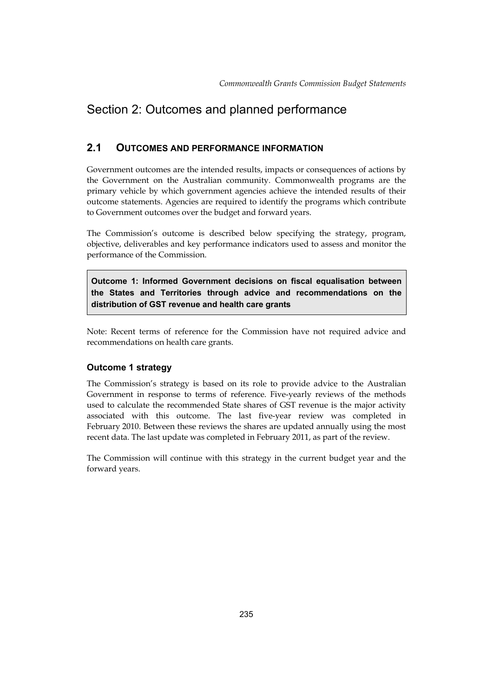# <span id="page-4-0"></span>Section 2: Outcomes and planned performance

# **2.1 OUTCOMES AND PERFORMANCE INFORMATION**

 Government outcomes are the intended results, impacts or consequences of actions by the Government on the Australian community. Commonwealth programs are the primary vehicle by which government agencies achieve the intended results of their outcome statements. Agencies are required to identify the programs which contribute to Government outcomes over the budget and forward years.

The Commission's outcome is described below specifying the strategy, program, objective, deliverables and key performance indicators used to assess and monitor the performance of the Commission.

**Outcome 1: Informed Government decisions on fiscal equalisation between the States and Territories through advice and recommendations on the distribution of GST revenue and health care grants** 

Note: Recent terms of reference for the Commission have not required advice and recommendations on health care grants.

# **Outcome 1 strategy**

The Commission's strategy is based on its role to provide advice to the Australian Government in response to terms of reference. Five-yearly reviews of the methods used to calculate the recommended State shares of GST revenue is the major activity associated with this outcome. The last five-year review was completed in February 2010. Between these reviews the shares are updated annually using the most recent data. The last update was completed in February 2011, as part of the review.

The Commission will continue with this strategy in the current budget year and the forward years.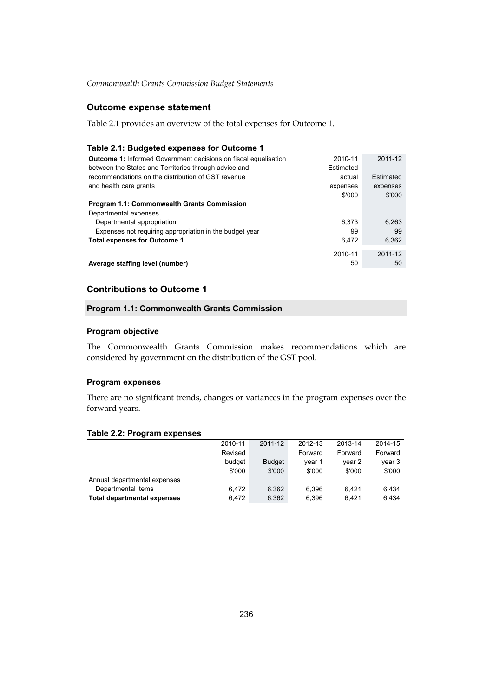## **Outcome expense statement**

Table 2.1 provides an overview of the total expenses for Outcome 1.

### **Table 2.1: Budgeted expenses for Outcome 1**

| <b>Outcome 1:</b> Informed Government decisions on fiscal equalisation | 2010-11   | 2011-12   |
|------------------------------------------------------------------------|-----------|-----------|
| between the States and Territories through advice and                  | Estimated |           |
| recommendations on the distribution of GST revenue                     | actual    | Estimated |
| and health care grants                                                 | expenses  | expenses  |
|                                                                        | \$'000    | \$'000    |
| <b>Program 1.1: Commonwealth Grants Commission</b>                     |           |           |
| Departmental expenses                                                  |           |           |
| Departmental appropriation                                             | 6.373     | 6,263     |
| Expenses not requiring appropriation in the budget year                | 99        | 99        |
| <b>Total expenses for Outcome 1</b>                                    | 6.472     | 6,362     |
|                                                                        | 2010-11   | 2011-12   |
| Average staffing level (number)                                        | 50        | 50        |
|                                                                        |           |           |

### **Contributions to Outcome 1**

### **Program 1.1: Commonwealth Grants Commission**

### **Program objective**

The Commonwealth Grants Commission makes recommendations which are considered by government on the distribution of the GST pool.

### **Program expenses**

There are no significant trends, changes or variances in the program expenses over the forward years.

### **Table 2.2: Program expenses**

|                                    | 2010-11 | 2011-12       | 2012-13 | 2013-14 | 2014-15 |
|------------------------------------|---------|---------------|---------|---------|---------|
|                                    | Revised |               | Forward | Forward | Forward |
|                                    | budget  | <b>Budget</b> | year 1  | year 2  | year 3  |
|                                    | \$'000  | \$'000        | \$'000  | \$'000  | \$'000  |
| Annual departmental expenses       |         |               |         |         |         |
| Departmental items                 | 6.472   | 6.362         | 6,396   | 6.421   | 6,434   |
| <b>Total departmental expenses</b> | 6.472   | 6.362         | 6.396   | 6.421   | 6,434   |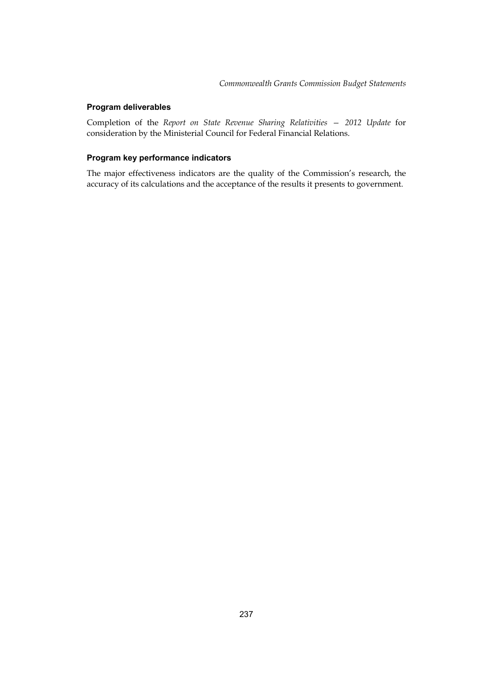### **Program deliverables**

Completion of the *Report on State Revenue Sharing Relativities — 2012 Update* for consideration by the Ministerial Council for Federal Financial Relations.

### **Program key performance indicators**

The major effectiveness indicators are the quality of the Commission's research, the accuracy of its calculations and the acceptance of the results it presents to government.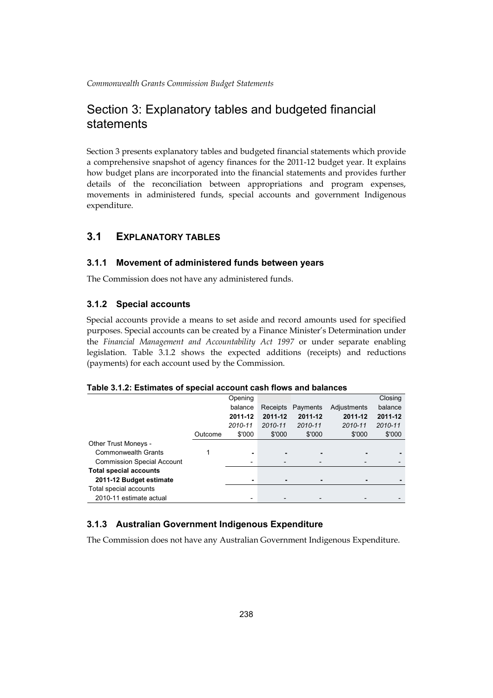# Section 3: Explanatory tables and budgeted financial statements

Section 3 presents explanatory tables and budgeted financial statements which provide a comprehensive snapshot of agency finances for the 2011-12 budget year. It explains how budget plans are incorporated into the financial statements and provides further details of the reconciliation between appropriations and program expenses, movements in administered funds, special accounts and government Indigenous expenditure.

# **3.1 EXPLANATORY TABLES**

### **3.1.1 Movement of administered funds between years**

The Commission does not have any administered funds.

### **3.1.2 Special accounts**

Special accounts provide a means to set aside and record amounts used for specified purposes. Special accounts can be created by a Finance Minister's Determination under the *Financial Management and Accountability Act 1997* or under separate enabling legislation. Table 3.1.2 shows the expected additions (receipts) and reductions (payments) for each account used by the Commission.

### **Table 3.1.2: Estimates of special account cash flows and balances**

|                                   |         | Opening                  |          |          |             | Closing |
|-----------------------------------|---------|--------------------------|----------|----------|-------------|---------|
|                                   |         | balance                  | Receipts | Payments | Adjustments | balance |
|                                   |         | 2011-12                  | 2011-12  | 2011-12  | 2011-12     | 2011-12 |
|                                   |         | 2010-11                  | 2010-11  | 2010-11  | 2010-11     | 2010-11 |
|                                   | Outcome | \$'000                   | \$'000   | \$'000   | \$'000      | \$'000  |
| Other Trust Moneys -              |         |                          |          |          |             |         |
| <b>Commonwealth Grants</b>        |         | ۰                        |          |          |             |         |
| <b>Commission Special Account</b> |         | $\overline{\phantom{a}}$ | -        |          |             |         |
| <b>Total special accounts</b>     |         |                          |          |          |             |         |
| 2011-12 Budget estimate           |         | ۰                        |          |          |             |         |
| Total special accounts            |         |                          |          |          |             |         |
| 2010-11 estimate actual           |         | ٠                        |          |          |             |         |

# **3.1.3 Australian Government Indigenous Expenditure**

The Commission does not have any Australian Government Indigenous Expenditure.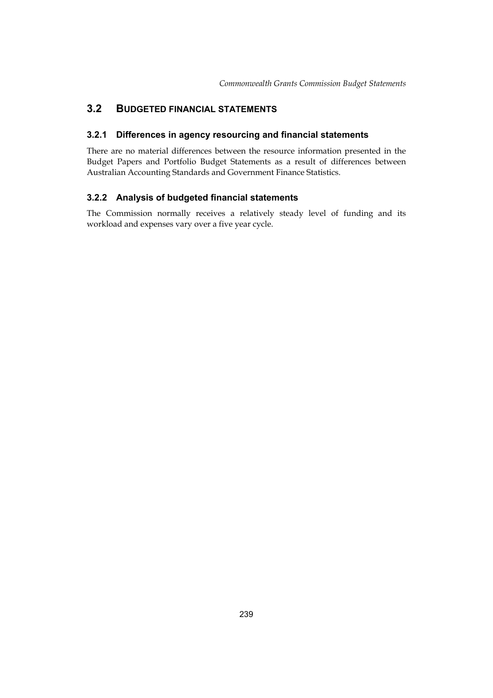# <span id="page-8-0"></span>**3.2 BUDGETED FINANCIAL STATEMENTS**

### **3.2.1 Differences in agency resourcing and financial statements**

There are no material differences between the resource information presented in the Budget Papers and Portfolio Budget Statements as a result of differences between Australian Accounting Standards and Government Finance Statistics.

### **3.2.2 Analysis of budgeted financial statements**

The Commission normally receives a relatively steady level of funding and its workload and expenses vary over a five year cycle.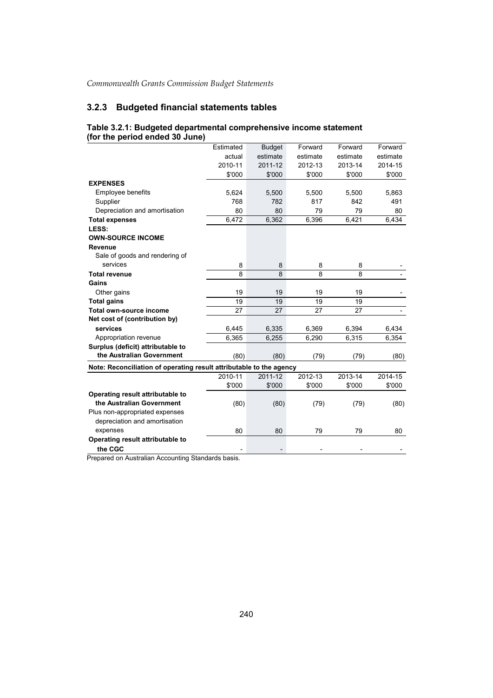# **3.2.3 Budgeted financial statements tables**

|                                                                     | Estimated | <b>Budget</b> | Forward  | Forward  | Forward  |
|---------------------------------------------------------------------|-----------|---------------|----------|----------|----------|
|                                                                     | actual    | estimate      | estimate | estimate | estimate |
|                                                                     | 2010-11   | 2011-12       | 2012-13  | 2013-14  | 2014-15  |
|                                                                     | \$'000    | \$'000        | \$'000   | \$'000   | \$'000   |
| <b>EXPENSES</b>                                                     |           |               |          |          |          |
| <b>Employee benefits</b>                                            | 5,624     | 5,500         | 5,500    | 5,500    | 5,863    |
| Supplier                                                            | 768       | 782           | 817      | 842      | 491      |
| Depreciation and amortisation                                       | 80        | 80            | 79       | 79       | 80       |
| <b>Total expenses</b>                                               | 6,472     | 6,362         | 6,396    | 6,421    | 6,434    |
| LESS:                                                               |           |               |          |          |          |
| <b>OWN-SOURCE INCOME</b>                                            |           |               |          |          |          |
| Revenue                                                             |           |               |          |          |          |
| Sale of goods and rendering of                                      |           |               |          |          |          |
| services                                                            | 8         | 8             | 8        | 8        |          |
| <b>Total revenue</b>                                                | 8         | 8             | 8        | 8        |          |
| Gains                                                               |           |               |          |          |          |
| Other gains                                                         | 19        | 19            | 19       | 19       |          |
| <b>Total gains</b>                                                  | 19        | 19            | 19       | 19       |          |
| <b>Total own-source income</b>                                      | 27        | 27            | 27       | 27       |          |
| Net cost of (contribution by)                                       |           |               |          |          |          |
| services                                                            | 6,445     | 6,335         | 6,369    | 6,394    | 6,434    |
| Appropriation revenue                                               | 6,365     | 6,255         | 6,290    | 6,315    | 6,354    |
| Surplus (deficit) attributable to                                   |           |               |          |          |          |
| the Australian Government                                           | (80)      | (80)          | (79)     | (79)     | (80)     |
| Note: Reconciliation of operating result attributable to the agency |           |               |          |          |          |
|                                                                     | 2010-11   | 2011-12       | 2012-13  | 2013-14  | 2014-15  |
|                                                                     | \$'000    | \$'000        | \$'000   | \$'000   | \$'000   |
| Operating result attributable to                                    |           |               |          |          |          |
| the Australian Government                                           | (80)      | (80)          | (79)     | (79)     | (80)     |
| Plus non-appropriated expenses                                      |           |               |          |          |          |
| depreciation and amortisation                                       |           |               |          |          |          |
| expenses                                                            | 80        | 80            | 79       | 79       | 80       |
| Operating result attributable to                                    |           |               |          |          |          |
| the CGC                                                             |           |               |          |          |          |
|                                                                     |           |               |          |          |          |

#### **Table 3.2.1: Budgeted departmental comprehensive income statement (for the period ended 30 June)**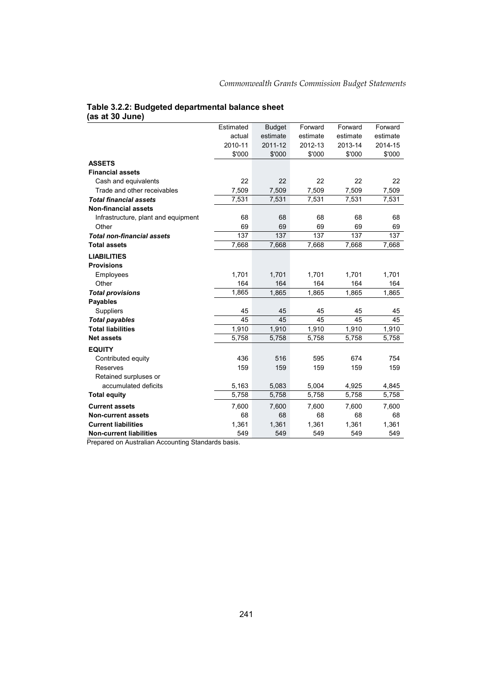#### **Table 3.2.2: Budgeted departmental balance sheet (as at 30 June)**

|                                     | Estimated | <b>Budget</b> | Forward  | Forward  | Forward  |
|-------------------------------------|-----------|---------------|----------|----------|----------|
|                                     | actual    | estimate      | estimate | estimate | estimate |
|                                     | 2010-11   | 2011-12       | 2012-13  | 2013-14  | 2014-15  |
|                                     | \$'000    | \$'000        | \$'000   | \$'000   | \$'000   |
| <b>ASSETS</b>                       |           |               |          |          |          |
| <b>Financial assets</b>             |           |               |          |          |          |
| Cash and equivalents                | 22        | 22            | 22       | 22       | 22       |
| Trade and other receivables         | 7,509     | 7,509         | 7,509    | 7,509    | 7,509    |
| <b>Total financial assets</b>       | 7,531     | 7,531         | 7,531    | 7,531    | 7,531    |
| <b>Non-financial assets</b>         |           |               |          |          |          |
| Infrastructure, plant and equipment | 68        | 68            | 68       | 68       | 68       |
| Other                               | 69        | 69            | 69       | 69       | 69       |
| <b>Total non-financial assets</b>   | 137       | 137           | 137      | 137      | 137      |
| <b>Total assets</b>                 | 7,668     | 7,668         | 7,668    | 7,668    | 7,668    |
| <b>LIABILITIES</b>                  |           |               |          |          |          |
| <b>Provisions</b>                   |           |               |          |          |          |
| Employees                           | 1,701     | 1,701         | 1,701    | 1,701    | 1,701    |
| Other                               | 164       | 164           | 164      | 164      | 164      |
| <b>Total provisions</b>             | 1,865     | 1,865         | 1,865    | 1,865    | 1,865    |
| <b>Payables</b>                     |           |               |          |          |          |
| Suppliers                           | 45        | 45            | 45       | 45       | 45       |
| <b>Total payables</b>               | 45        | 45            | 45       | 45       | 45       |
| <b>Total liabilities</b>            | 1,910     | 1,910         | 1,910    | 1,910    | 1,910    |
| <b>Net assets</b>                   | 5,758     | 5,758         | 5,758    | 5,758    | 5,758    |
| <b>EQUITY</b>                       |           |               |          |          |          |
| Contributed equity                  | 436       | 516           | 595      | 674      | 754      |
| Reserves                            | 159       | 159           | 159      | 159      | 159      |
| Retained surpluses or               |           |               |          |          |          |
| accumulated deficits                | 5,163     | 5,083         | 5,004    | 4,925    | 4,845    |
| <b>Total equity</b>                 | 5,758     | 5,758         | 5,758    | 5,758    | 5,758    |
| <b>Current assets</b>               | 7,600     | 7,600         | 7,600    | 7,600    | 7,600    |
| <b>Non-current assets</b>           | 68        | 68            | 68       | 68       | 68       |
| <b>Current liabilities</b>          | 1,361     | 1,361         | 1,361    | 1,361    | 1,361    |
| <b>Non-current liabilities</b>      | 549       | 549           | 549      | 549      | 549      |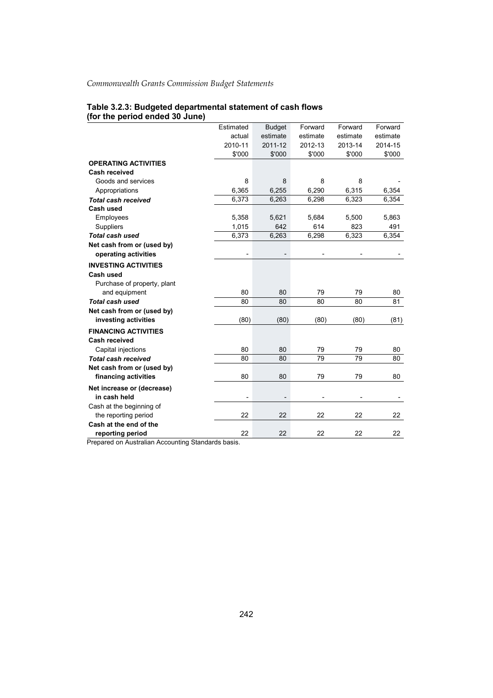# **Table 3.2.3: Budgeted departmental statement of cash flows (for the period ended 30 June)**

|                                                   | Estimated                | <b>Budget</b> | Forward  | Forward  | Forward  |
|---------------------------------------------------|--------------------------|---------------|----------|----------|----------|
|                                                   | actual                   | estimate      | estimate | estimate | estimate |
|                                                   | 2010-11                  | 2011-12       | 2012-13  | 2013-14  | 2014-15  |
|                                                   | \$'000                   | \$'000        | \$'000   | \$'000   | \$'000   |
| <b>OPERATING ACTIVITIES</b>                       |                          |               |          |          |          |
| <b>Cash received</b>                              |                          |               |          |          |          |
| Goods and services                                | 8                        | 8             | 8        | 8        |          |
| Appropriations                                    | 6,365                    | 6,255         | 6,290    | 6,315    | 6,354    |
| <b>Total cash received</b>                        | 6,373                    | 6,263         | 6,298    | 6,323    | 6,354    |
| Cash used                                         |                          |               |          |          |          |
| Employees                                         | 5,358                    | 5,621         | 5,684    | 5,500    | 5,863    |
| Suppliers                                         | 1,015                    | 642           | 614      | 823      | 491      |
| <b>Total cash used</b>                            | 6,373                    | 6,263         | 6,298    | 6,323    | 6,354    |
| Net cash from or (used by)                        |                          |               |          |          |          |
| operating activities                              |                          |               |          |          |          |
| <b>INVESTING ACTIVITIES</b>                       |                          |               |          |          |          |
| Cash used                                         |                          |               |          |          |          |
| Purchase of property, plant                       |                          |               |          |          |          |
| and equipment                                     | 80                       | 80            | 79       | 79       | 80       |
| <b>Total cash used</b>                            | 80                       | 80            | 80       | 80       | 81       |
| Net cash from or (used by)                        |                          |               |          |          |          |
| investing activities                              | (80)                     | (80)          | (80)     | (80)     | (81)     |
| <b>FINANCING ACTIVITIES</b>                       |                          |               |          |          |          |
| <b>Cash received</b>                              |                          |               |          |          |          |
| Capital injections                                | 80                       | 80            | 79       | 79       | 80       |
| <b>Total cash received</b>                        | 80                       | 80            | 79       | 79       | 80       |
| Net cash from or (used by)                        |                          |               |          |          |          |
| financing activities                              | 80                       | 80            | 79       | 79       | 80       |
| Net increase or (decrease)                        |                          |               |          |          |          |
| in cash held                                      | $\overline{\phantom{a}}$ |               |          |          |          |
| Cash at the beginning of                          |                          |               |          |          |          |
| the reporting period                              | 22                       | 22            | 22       | 22       | 22       |
| Cash at the end of the                            |                          |               |          |          |          |
| reporting period                                  | 22                       | 22            | 22       | 22       | 22       |
| Dropored on Augtralian Accounting Ctondardo boois |                          |               |          |          |          |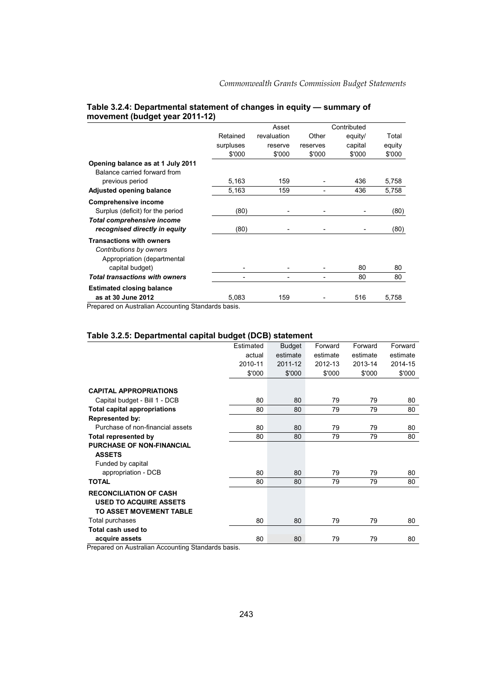|                                                                                           |           | Asset       |          | Contributed |        |
|-------------------------------------------------------------------------------------------|-----------|-------------|----------|-------------|--------|
|                                                                                           | Retained  | revaluation | Other    | equity/     | Total  |
|                                                                                           | surpluses | reserve     | reserves | capital     | equity |
|                                                                                           | \$'000    | \$'000      | \$'000   | \$'000      | \$'000 |
| Opening balance as at 1 July 2011<br>Balance carried forward from                         |           |             |          |             |        |
| previous period                                                                           | 5,163     | 159         |          | 436         | 5,758  |
| Adjusted opening balance                                                                  | 5,163     | 159         |          | 436         | 5,758  |
| <b>Comprehensive income</b>                                                               |           |             |          |             |        |
| Surplus (deficit) for the period                                                          | (80)      |             |          |             | (80)   |
| <b>Total comprehensive income</b><br>recognised directly in equity                        | (80)      |             |          |             | (80)   |
| <b>Transactions with owners</b><br>Contributions by owners<br>Appropriation (departmental |           |             |          |             |        |
| capital budget)                                                                           |           |             |          | 80          | 80     |
| <b>Total transactions with owners</b>                                                     |           |             |          | 80          | 80     |
| <b>Estimated closing balance</b>                                                          |           |             |          |             |        |
| as at 30 June 2012                                                                        | 5,083     | 159         |          | 516         | 5,758  |

### **Table 3.2.4: Departmental statement of changes in equity — summary of movement (budget year 2011-12)**

Prepared on Australian Accounting Standards basis.

### **Table 3.2.5: Departmental capital budget (DCB) statement**

|                                     | Estimated | <b>Budget</b> | Forward  | Forward  | Forward  |
|-------------------------------------|-----------|---------------|----------|----------|----------|
|                                     | actual    | estimate      | estimate | estimate | estimate |
|                                     | 2010-11   | 2011-12       | 2012-13  | 2013-14  | 2014-15  |
|                                     | \$'000    | \$'000        | \$'000   | \$'000   | \$'000   |
|                                     |           |               |          |          |          |
| <b>CAPITAL APPROPRIATIONS</b>       |           |               |          |          |          |
| Capital budget - Bill 1 - DCB       | 80        | 80            | 79       | 79       | 80       |
| <b>Total capital appropriations</b> | 80        | 80            | 79       | 79       | 80       |
| <b>Represented by:</b>              |           |               |          |          |          |
| Purchase of non-financial assets    | 80        | 80            | 79       | 79       | 80       |
| Total represented by                | 80        | 80            | 79       | 79       | 80       |
| <b>PURCHASE OF NON-FINANCIAL</b>    |           |               |          |          |          |
| <b>ASSETS</b>                       |           |               |          |          |          |
| Funded by capital                   |           |               |          |          |          |
| appropriation - DCB                 | 80        | 80            | 79       | 79       | 80       |
| <b>TOTAL</b>                        | 80        | 80            | 79       | 79       | 80       |
| <b>RECONCILIATION OF CASH</b>       |           |               |          |          |          |
| <b>USED TO ACQUIRE ASSETS</b>       |           |               |          |          |          |
| TO ASSET MOVEMENT TABLE             |           |               |          |          |          |
| Total purchases                     | 80        | 80            | 79       | 79       | 80       |
| Total cash used to                  |           |               |          |          |          |
| acquire assets                      | 80        | 80            | 79       | 79       | 80       |